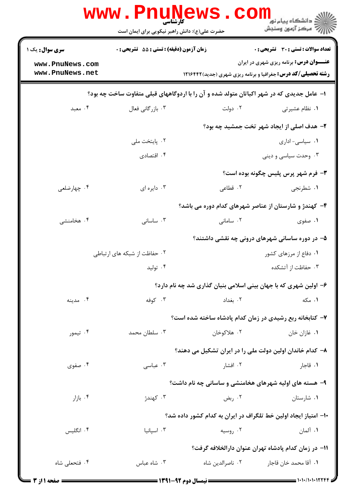|                                                                                          | www . Pn<br><b>کارشناسی</b><br>حضرت علی(ع): دانش راهبر نیکویی برای ایمان است |                  | د انشگاه پيام نو <mark>ر</mark><br>رآ مرکز آزمون وسنجش             |  |  |
|------------------------------------------------------------------------------------------|------------------------------------------------------------------------------|------------------|--------------------------------------------------------------------|--|--|
| <b>سری سوال :</b> یک ۱                                                                   | <b>زمان آزمون (دقیقه) : تستی : 55 تشریحی : 0</b>                             |                  | <b>تعداد سوالات : تستی : 30 ٪ تشریحی : 0</b>                       |  |  |
| www.PnuNews.com                                                                          |                                                                              |                  | <b>عنــــوان درس:</b> برنامه ریزی شهری در ایران                    |  |  |
| www.PnuNews.net                                                                          |                                                                              |                  | <b>رشته تحصیلی/کد درس:</b> جغرافیا و برنامه ریزی شهری (جدید)۱۲۱۶۴۲ |  |  |
| ۱– عامل جدیدی که در شهر اکباتان متولد شده و آن را با اردوگاههای قبلی متفاوت ساخت چه بود؟ |                                                                              |                  |                                                                    |  |  |
| ۰۴ معبد                                                                                  | ۰۳ بازرگانی فعال                                                             | ۰۲ دولت          | ٠١. نظام عشيرتي                                                    |  |  |
|                                                                                          |                                                                              |                  | ۲- هدف اصلی از ایجاد شهر تخت جمشید چه بود؟                         |  |  |
|                                                                                          | ٠٢. پايتخت ملي                                                               |                  | ٠١ سياسي- اداري                                                    |  |  |
|                                                                                          | ۰۴ اقتصادی                                                                   |                  | ۰۳ وحدت سیاسی و دینی                                               |  |  |
|                                                                                          |                                                                              |                  | <b>۳</b> - فرم شهر پرس پلیس چگونه بوده است؟                        |  |  |
| ۰۴ چهارضلعی                                                                              | ۰۳ دايره ای                                                                  | ۲. قطاعی         | ۰۱ شطرنجي                                                          |  |  |
|                                                                                          |                                                                              |                  | ۴- کهندژ و شارستان از عناصر شهرهای کدام دوره می باشد؟              |  |  |
| ۰۴ هخامنشی                                                                               | ۰۳ ساسانی                                                                    | ۰۲ سامانی        | ۰۱ صفوی                                                            |  |  |
|                                                                                          |                                                                              |                  | ۵– در دوره ساسانی شهرهای درونی چه نقشی داشتند؟                     |  |  |
|                                                                                          | ۰۲ حفاظت از شبکه های ارتباطی                                                 |                  | ۰۱ دفاع از مرزهای کشور                                             |  |  |
|                                                                                          | ۰۴ تولید                                                                     |                  | ۰۳ حفاظت از آتشکده                                                 |  |  |
|                                                                                          |                                                                              |                  | ۶- اولین شهری که با جهان بینی اسلامی بنیان گذاری شد چه نام دارد؟   |  |  |
| ۰۴ مدينه                                                                                 | ۰۳ کوفه                                                                      | ٠٢ بغداد         | ۰۱ مکه                                                             |  |  |
|                                                                                          |                                                                              |                  | ۷- کتابخانه ربع رشیدی در زمان کدام پادشاه ساخته شده است؟           |  |  |
| ۰۴ تیمور                                                                                 | ۰۳ سلطان محمد                                                                | ۰۲ هلاکوخان      | ۰۱ غازان خان                                                       |  |  |
|                                                                                          |                                                                              |                  | ۸– کدام خاندان اولین دولت ملی را در ایران تشکیل می دهند؟           |  |  |
| ۰۴ صفوی                                                                                  | ۰۳ عباسی                                                                     | ۰۲ افشار         | ۰۱ قاجار                                                           |  |  |
|                                                                                          |                                                                              |                  | ۹- هسته های اولیه شهرهای هخامنشی و ساسانی چه نام داشت؟             |  |  |
| ۰۴ بازار                                                                                 | ۰۳ کهندژ                                                                     | ۰۲ ربض           | ۰۱ شارستان                                                         |  |  |
|                                                                                          |                                                                              |                  | ۱۰– امتیاز ایجاد اولین خط تلگراف در ایران به کدام کشور داده شد؟    |  |  |
| ۰۴ انگلیس                                                                                | ۰۳ اسپانیا                                                                   | ۰۲ روسیه         | ۰۱ آلمان                                                           |  |  |
|                                                                                          |                                                                              |                  | 11– در زمان كدام پادشاه تهران عنوان دارالخلافه گرفت؟               |  |  |
| ۰۴ فتحعلی شاه                                                                            | ۰۳ شاه عباس                                                                  | ۰۲ ناصرالدین شاه | ٠١. آقا محمد خان قاجار                                             |  |  |
|                                                                                          | $\equiv$ 1791_47 a.a. thus $\equiv$                                          |                  | - 1.1./1.1.12244                                                   |  |  |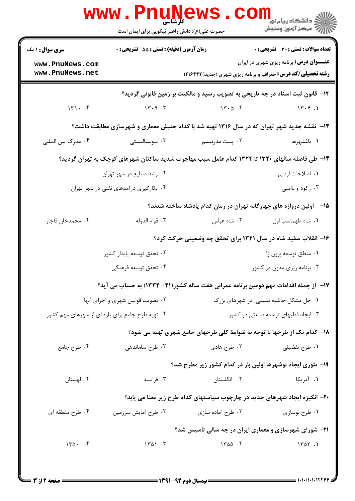|                                                                                               | حضرت علی(ع): دانش راهبر نیکویی برای ایمان است    | www.Pnunews.co    | ر دانشڪاه پيام نور <mark>−</mark><br>ا∛ مرکز آزمون وسنڊش                                                              |  |  |
|-----------------------------------------------------------------------------------------------|--------------------------------------------------|-------------------|-----------------------------------------------------------------------------------------------------------------------|--|--|
| <b>سری سوال : ۱ یک</b>                                                                        | <b>زمان آزمون (دقیقه) : تستی : 55 تشریحی : 0</b> |                   | <b>تعداد سوالات : تستی : 30 ٪ تشریحی : 0</b>                                                                          |  |  |
| www.PnuNews.com<br>www.PnuNews.net                                                            |                                                  |                   | <b>عنــــوان درس:</b> برنامه ریزی شهری در ایران<br><b>رشته تحصیلی/کد درس:</b> جغرافیا و برنامه ریزی شهری (جدید)۱۲۱۶۴۲ |  |  |
|                                                                                               |                                                  |                   | ۱۲- قانون ثبت اسناد در چه تاریخی به تصویب رسید و مالکیت بر زمین قانونی گردید؟                                         |  |  |
| 141.7                                                                                         | 14.9.7                                           | $14.0 \cdot 17$   | $15.9 - 1$                                                                                                            |  |  |
| ۱۳- نقشه جدید شهر تهران که در سال ۱۳۱۶ تهیه شد با کدام جنبش معماری و شهرسازی مطابقت داشت؟     |                                                  |                   |                                                                                                                       |  |  |
| ۰۴ مدرک بین المللی                                                                            | ۰۳ سوسیالیستی                                    | ۰۲ پست مدرنیسم    | ۰۱ باغشهرها                                                                                                           |  |  |
| ۱۴– طی فاصله سالهای ۱۳۲۰ تا ۱۳۲۴ کدام عامل سبب مهاجرت شدید ساکنان شهرهای کوچک به تهران گردید؟ |                                                  |                   |                                                                                                                       |  |  |
|                                                                                               | ۰۲ رشد صنایع در شهر تهران                        |                   | ٠١. اصلاحات ارضى                                                                                                      |  |  |
|                                                                                               | ۰۴ بکارگیری درآمدهای نفتی در شهر تهران           |                   | ۰۳ رکود و ناامنی                                                                                                      |  |  |
|                                                                                               |                                                  |                   | ۱۵– آولین دروازه های چهارگانه تهران در زمان کدام پادشاه ساخته شدند؟                                                   |  |  |
| ۰۴ محمدخان قاجار                                                                              | ۰۳ قوام الدوله                                   | ۰۲ شاه عباس       | ٠١. شاه طهماسب اول                                                                                                    |  |  |
| ۱۶- انقلاب سفید شاه در سال ۱۳۴۱ برای تحقق چه وضعیتی حرکت کرد؟                                 |                                                  |                   |                                                                                                                       |  |  |
|                                                                                               | ۰۲ تحقق توسعه پایدار کشور                        |                   | ۰۱ منطق توسعه برون زا                                                                                                 |  |  |
|                                                                                               | ۰۴ تحقق توسعه فرهنگی                             |                   | ۰۳ برنامه ریزی مدون در کشور                                                                                           |  |  |
|                                                                                               |                                                  |                   | ۱۷– از جمله اقدامات مهم دومین برنامه عمرانی هفت ساله کشور(۴۱– ۱۳۳۴) به حساب می آید؟                                   |  |  |
|                                                                                               | ۰۲ تصویب قوانین شهری و اجرای آنها                |                   | ۰۱ حل مشکل حاشیه نشینی در شهرهای بزرگ                                                                                 |  |  |
| ۰۴ تهیه طرح جامع برای پاره ای از شهرهای مهم کشور<br>۰۳ ایجاد قطبهای توسعه صنعتی در کشور       |                                                  |                   |                                                                                                                       |  |  |
|                                                                                               |                                                  |                   | ۱۸– کدام یک از طرحها با توجه به ضوابط کلی طرحهای جامع شهری تهیه می شود؟                                               |  |  |
| ۰۴ طرح جامع                                                                                   | ۰۳ طرح ساماندهی                                  | ۰۲ طرح هادی       | ۰۱ طرح تفضیلی                                                                                                         |  |  |
|                                                                                               |                                                  |                   | ۱۹- تئوری ایجاد نوشهرها اولین بار در کدام کشور زیر مطرح شد؟                                                           |  |  |
| ۰۴ لهستان                                                                                     | ۰۳ فرانسه                                        | ۰۲ انگلستان       | ۰۱ آمریکا                                                                                                             |  |  |
|                                                                                               |                                                  |                   | ۲۰- انگیزه ایجاد شهرهای جدید در چارچوب سیاستهای کدام طرح زیر معنا می یابد؟                                            |  |  |
| ۰۴ طرح منطقه ای                                                                               | ۰۳ طرح أمايش سرزمين                              | ۰۲ طرح آماده سازی | ۰۱ طرح نوسازی                                                                                                         |  |  |
|                                                                                               |                                                  |                   | <b>۲۱</b> - شورای شهرسازی و معماری ایران در چه سالی تاسیس شد؟                                                         |  |  |
| $140 \cdot 19$                                                                                | 1401.7                                           | $1400 - 5$        | 1401.1                                                                                                                |  |  |
|                                                                                               |                                                  |                   |                                                                                                                       |  |  |